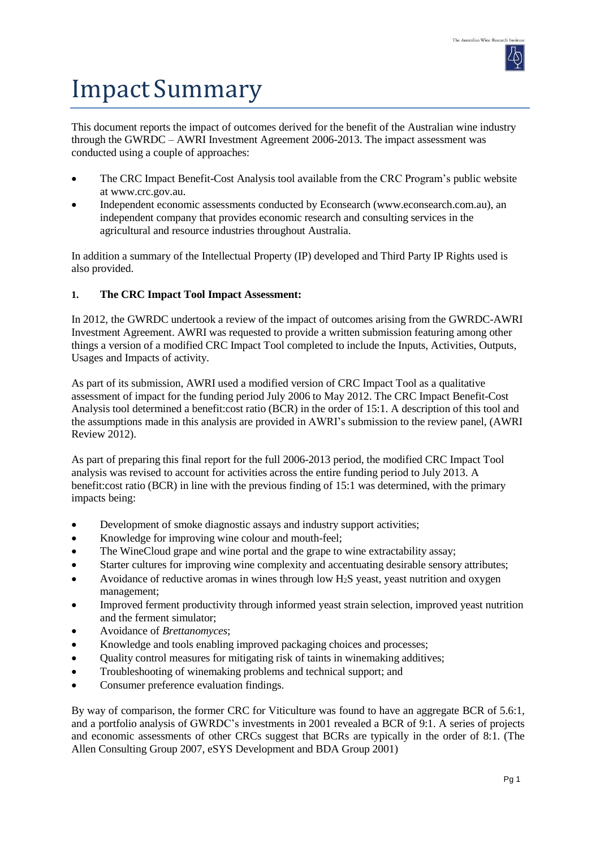

# Impact Summary

This document reports the impact of outcomes derived for the benefit of the Australian wine industry through the GWRDC – AWRI Investment Agreement 2006-2013. The impact assessment was conducted using a couple of approaches:

- The CRC Impact Benefit-Cost Analysis tool available from the CRC Program's public website at [www.crc.gov.au.](http://www.crc.gov.au/)
- Independent economic assessments conducted by Econsearch [\(www.econsearch.com.au\)](http://www.econsearch.com.au/), an independent company that provides economic research and consulting services in the agricultural and resource industries throughout Australia.

In addition a summary of the Intellectual Property (IP) developed and Third Party IP Rights used is also provided.

## **1. The CRC Impact Tool Impact Assessment:**

In 2012, the GWRDC undertook a review of the impact of outcomes arising from the GWRDC-AWRI Investment Agreement. AWRI was requested to provide a written submission featuring among other things a version of a modified CRC Impact Tool completed to include the Inputs, Activities, Outputs, Usages and Impacts of activity.

As part of its submission, AWRI used a modified version of CRC Impact Tool as a qualitative assessment of impact for the funding period July 2006 to May 2012. The CRC Impact Benefit-Cost Analysis tool determined a benefit:cost ratio (BCR) in the order of 15:1. A description of this tool and the assumptions made in this analysis are provided in AWRI's submission to the review panel, (AWRI Review 2012).

As part of preparing this final report for the full 2006-2013 period, the modified CRC Impact Tool analysis was revised to account for activities across the entire funding period to July 2013. A benefit:cost ratio (BCR) in line with the previous finding of 15:1 was determined, with the primary impacts being:

- Development of smoke diagnostic assays and industry support activities;
- Knowledge for improving wine colour and mouth-feel;
- The WineCloud grape and wine portal and the grape to wine extractability assay;
- Starter cultures for improving wine complexity and accentuating desirable sensory attributes;
- Avoidance of reductive aromas in wines through low  $H_2S$  yeast, yeast nutrition and oxygen management;
- Improved ferment productivity through informed yeast strain selection, improved yeast nutrition and the ferment simulator;
- Avoidance of *Brettanomyces*;
- Knowledge and tools enabling improved packaging choices and processes;
- Quality control measures for mitigating risk of taints in winemaking additives;
- Troubleshooting of winemaking problems and technical support; and
- Consumer preference evaluation findings.

By way of comparison, the former CRC for Viticulture was found to have an aggregate BCR of 5.6:1, and a portfolio analysis of GWRDC's investments in 2001 revealed a BCR of 9:1. A series of projects and economic assessments of other CRCs suggest that BCRs are typically in the order of 8:1. (The Allen Consulting Group 2007, eSYS Development and BDA Group 2001)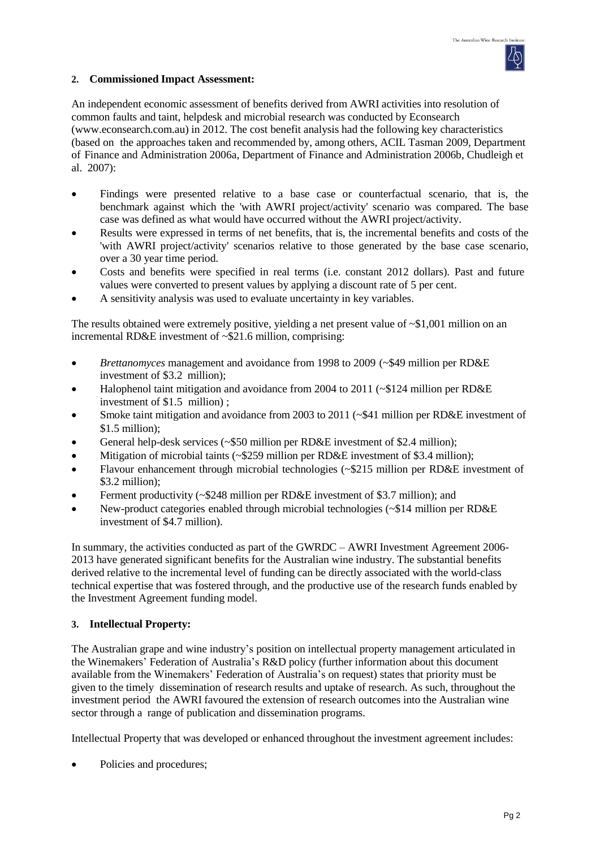

### **2. Commissioned Impact Assessment:**

An independent economic assessment of benefits derived from AWRI activities into resolution of common faults and taint, helpdesk and microbial research was conducted by Econsearch [\(www.econsearch.com.au\)](http://www.econsearch.com.au/) in 2012. The cost benefit analysis had the following key characteristics (based on the approaches taken and recommended by, among others, ACIL Tasman 2009, Department of Finance and Administration 2006a, Department of Finance and Administration 2006b, Chudleigh et al. 2007):

- Findings were presented relative to a base case or counterfactual scenario, that is, the benchmark against which the 'with AWRI project/activity' scenario was compared. The base case was defined as what would have occurred without the AWRI project/activity.
- Results were expressed in terms of net benefits, that is, the incremental benefits and costs of the 'with AWRI project/activity' scenarios relative to those generated by the base case scenario, over a 30 year time period.
- Costs and benefits were specified in real terms (i.e. constant 2012 dollars). Past and future values were converted to present values by applying a discount rate of 5 per cent.
- A sensitivity analysis was used to evaluate uncertainty in key variables.

The results obtained were extremely positive, yielding a net present value of ~\$1,001 million on an incremental RD&E investment of ~\$21.6 million, comprising:

- *Brettanomyces* management and avoidance from 1998 to 2009 (~\$49 million per RD&E investment of \$3.2 million);
- Halophenol taint mitigation and avoidance from 2004 to 2011 (~\$124 million per RD&E investment of \$1.5 million) ;
- Smoke taint mitigation and avoidance from 2003 to 2011 (~\$41 million per RD&E investment of \$1.5 million);
- General help-desk services (~\$50 million per RD&E investment of \$2.4 million);
- Mitigation of microbial taints (~\$259 million per RD&E investment of \$3.4 million);
- Flavour enhancement through microbial technologies (~\$215 million per RD&E investment of \$3.2 million);
- Ferment productivity (~\$248 million per RD&E investment of \$3.7 million); and
- New-product categories enabled through microbial technologies (~\$14 million per RD&E investment of \$4.7 million).

In summary, the activities conducted as part of the GWRDC – AWRI Investment Agreement 2006- 2013 have generated significant benefits for the Australian wine industry. The substantial benefits derived relative to the incremental level of funding can be directly associated with the world-class technical expertise that was fostered through, and the productive use of the research funds enabled by the Investment Agreement funding model.

### **3. Intellectual Property:**

The Australian grape and wine industry's position on intellectual property management articulated in the Winemakers' Federation of Australia's R&D policy (further information about this document available from the Winemakers' Federation of Australia's on request) states that priority must be given to the timely dissemination of research results and uptake of research. As such, throughout the investment period the AWRI favoured the extension of research outcomes into the Australian wine sector through a range of publication and dissemination programs.

Intellectual Property that was developed or enhanced throughout the investment agreement includes:

Policies and procedures;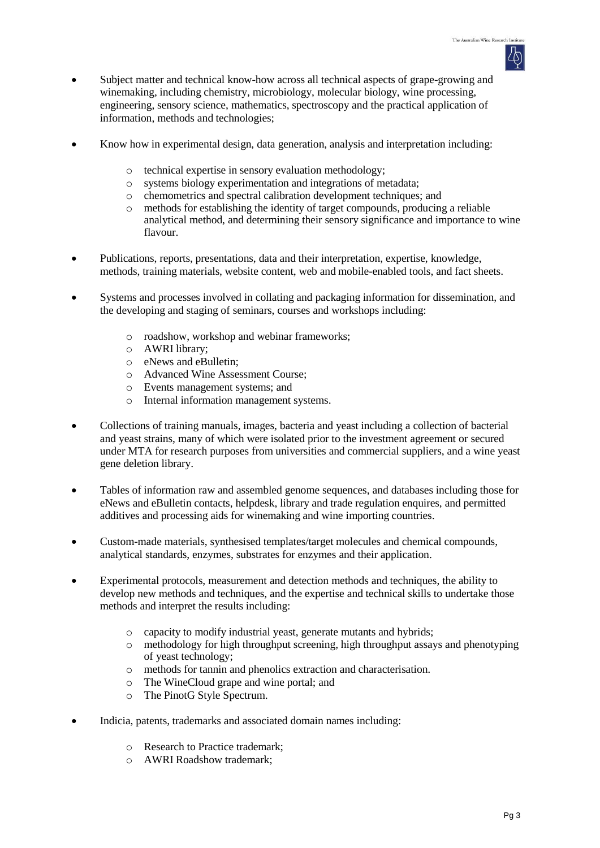- Subject matter and technical know-how across all technical aspects of grape-growing and winemaking, including chemistry, microbiology, molecular biology, wine processing, engineering, sensory science, mathematics, spectroscopy and the practical application of information, methods and technologies;
- Know how in experimental design, data generation, analysis and interpretation including:
	- o technical expertise in sensory evaluation methodology;
	- o systems biology experimentation and integrations of metadata;
	- o chemometrics and spectral calibration development techniques; and
	- o methods for establishing the identity of target compounds, producing a reliable analytical method, and determining their sensory significance and importance to wine flavour.
- Publications, reports, presentations, data and their interpretation, expertise, knowledge, methods, training materials, website content, web and mobile-enabled tools, and fact sheets.
- Systems and processes involved in collating and packaging information for dissemination, and the developing and staging of seminars, courses and workshops including:
	- o roadshow, workshop and webinar frameworks;
	- o AWRI library;
	- o eNews and eBulletin;
	- o Advanced Wine Assessment Course;
	- o Events management systems; and
	- o Internal information management systems.
- Collections of training manuals, images, bacteria and yeast including a collection of bacterial and yeast strains, many of which were isolated prior to the investment agreement or secured under MTA for research purposes from universities and commercial suppliers, and a wine yeast gene deletion library.
- Tables of information raw and assembled genome sequences, and databases including those for eNews and eBulletin contacts, helpdesk, library and trade regulation enquires, and permitted additives and processing aids for winemaking and wine importing countries.
- Custom-made materials, synthesised templates/target molecules and chemical compounds, analytical standards, enzymes, substrates for enzymes and their application.
- Experimental protocols, measurement and detection methods and techniques, the ability to develop new methods and techniques, and the expertise and technical skills to undertake those methods and interpret the results including:
	- o capacity to modify industrial yeast, generate mutants and hybrids;
	- o methodology for high throughput screening, high throughput assays and phenotyping of yeast technology;
	- o methods for tannin and phenolics extraction and characterisation.
	- o The WineCloud grape and wine portal; and
	- o The PinotG Style Spectrum.
- Indicia, patents, trademarks and associated domain names including:
	- o Research to Practice trademark;
	- o AWRI Roadshow trademark;